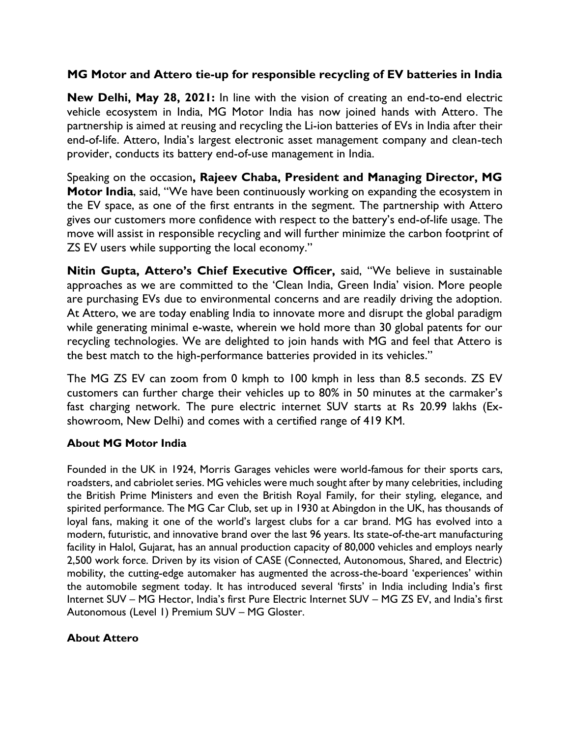## **MG Motor and Attero tie-up for responsible recycling of EV batteries in India**

**New Delhi, May 28, 2021:** In line with the vision of creating an end-to-end electric vehicle ecosystem in India, MG Motor India has now joined hands with Attero. The partnership is aimed at reusing and recycling the Li-ion batteries of EVs in India after their end-of-life. Attero, India's largest electronic asset management company and clean-tech provider, conducts its battery end-of-use management in India.

Speaking on the occasion**, Rajeev Chaba, President and Managing Director, MG Motor India**, said, "We have been continuously working on expanding the ecosystem in the EV space, as one of the first entrants in the segment. The partnership with Attero gives our customers more confidence with respect to the battery's end-of-life usage. The move will assist in responsible recycling and will further minimize the carbon footprint of ZS EV users while supporting the local economy."

**Nitin Gupta, Attero's Chief Executive Officer,** said, "We believe in sustainable approaches as we are committed to the 'Clean India, Green India' vision. More people are purchasing EVs due to environmental concerns and are readily driving the adoption. At Attero, we are today enabling India to innovate more and disrupt the global paradigm while generating minimal e-waste, wherein we hold more than 30 global patents for our recycling technologies. We are delighted to join hands with MG and feel that Attero is the best match to the high-performance batteries provided in its vehicles."

The MG ZS EV can zoom from 0 kmph to 100 kmph in less than 8.5 seconds. ZS EV customers can further charge their vehicles up to 80% in 50 minutes at the carmaker's fast charging network. The pure electric internet SUV starts at Rs 20.99 lakhs (Exshowroom, New Delhi) and comes with a certified range of 419 KM.

## **About MG Motor India**

Founded in the UK in 1924, Morris Garages vehicles were world-famous for their sports cars, roadsters, and cabriolet series. MG vehicles were much sought after by many celebrities, including the British Prime Ministers and even the British Royal Family, for their styling, elegance, and spirited performance. The MG Car Club, set up in 1930 at Abingdon in the UK, has thousands of loyal fans, making it one of the world's largest clubs for a car brand. MG has evolved into a modern, futuristic, and innovative brand over the last 96 years. Its state-of-the-art manufacturing facility in Halol, Gujarat, has an annual production capacity of 80,000 vehicles and employs nearly 2,500 work force. Driven by its vision of CASE (Connected, Autonomous, Shared, and Electric) mobility, the cutting-edge automaker has augmented the across-the-board 'experiences' within the automobile segment today. It has introduced several 'firsts' in India including India's first Internet SUV – MG Hector, India's first Pure Electric Internet SUV – MG ZS EV, and India's first Autonomous (Level 1) Premium SUV – MG Gloster.

## **About Attero**